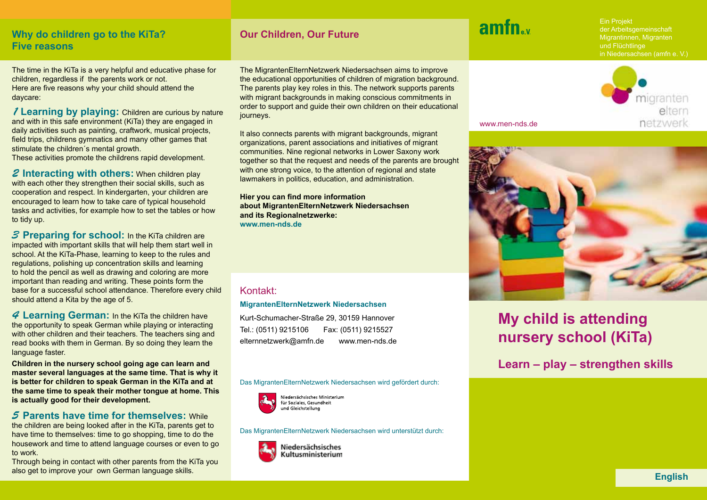# **Why do children go to the KiTa? Our Children, Our Future Five reasons**

The time in the KiTa is a very helpful and educative phase for children, regardless if the parents work or not. Here are five reasons why your child should attend the daycare:

*1* **Learning by playing:** Children are curious by nature and with in this safe environment (KiTa) they are engaged in daily activities such as painting, craftwork, musical projects, field trips, childrens gymnatics and many other games that stimulate the children´s mental growth.

These activities promote the childrens rapid development.

*2* **Interacting with others:** When children play with each other they strengthen their social skills, such as cooperation and respect. In kindergarten, your children are encouraged to learn how to take care of typical household tasks and activities, for example how to set the tables or how to tidy up.

*3* **Preparing for school:** In the KiTa children are impacted with important skills that will help them start well in school. At the KiTa-Phase, learning to keep to the rules and regulations, polishing up concentration skills and learning to hold the pencil as well as drawing and coloring are more important than reading and writing. These points form the base for a successful school attendance. Therefore every child should attend a Kita by the age of 5.

*4* **Learning German:** In the KiTa the children have the opportunity to speak German while playing or interacting with other children and their teachers. The teachers sing and read books with them in German. By so doing they learn the language faster.

**Children in the nursery school going age can learn and master several languages at the same time. That is why it is better for children to speak German in the KiTa and at the same time to speak their mother tongue at home. This is actually good for their development.**

### *5* **Parents have time for themselves:** While

the children are being looked after in the KiTa, parents get to have time to themselves: time to go shopping, time to do the housework and time to attend language courses or even to go to work.

Through being in contact with other parents from the KiTa you also get to improve your own German language skills. **English**

The MigrantenElternNetzwerk Niedersachsen aims to improve the educational opportunities of children of migration background. The parents play key roles in this. The network supports parents with migrant backgrounds in making conscious commitments in order to support and guide their own children on their educational journeys.

It also connects parents with migrant backgrounds, migrant organizations, parent associations and initiatives of migrant communities. Nine regional networks in Lower Saxony work together so that the request and needs of the parents are brought with one strong voice, to the attention of regional and state lawmakers in politics, education, and administration.

**Hier you can find more information about MigrantenElternNetzwerk Niedersachsen and its Regionalnetzwerke: www.men-nds.de**

# Kontakt:

### **MigrantenElternNetzwerk Niedersachsen**

Kurt-Schumacher-Straße 29, 30159 Hannover Tel.: (0511) 9215106 Fax: (0511) 9215527 elternnetzwerk@amfn.de www.men-nds.de

Das MigrantenElternNetzwerk Niedersachsen wird gefördert durch:



Niedersächsisches Ministerium für Soziales, Gesundheit und Gleichstellung

Das MigrantenElternNetzwerk Niedersachsen wird unterstützt durch:



Niedersächsisches Kultusministerium

# amfn "

www.men-nds.de

Ein Projekt der Arbeitsgemeinschaft Migrantinnen, Migranten und Flüchtlinge in Niedersachsen (amfn e. V.)





# **My child is attending nursery school (KiTa)**

**Learn – play – strengthen skills**